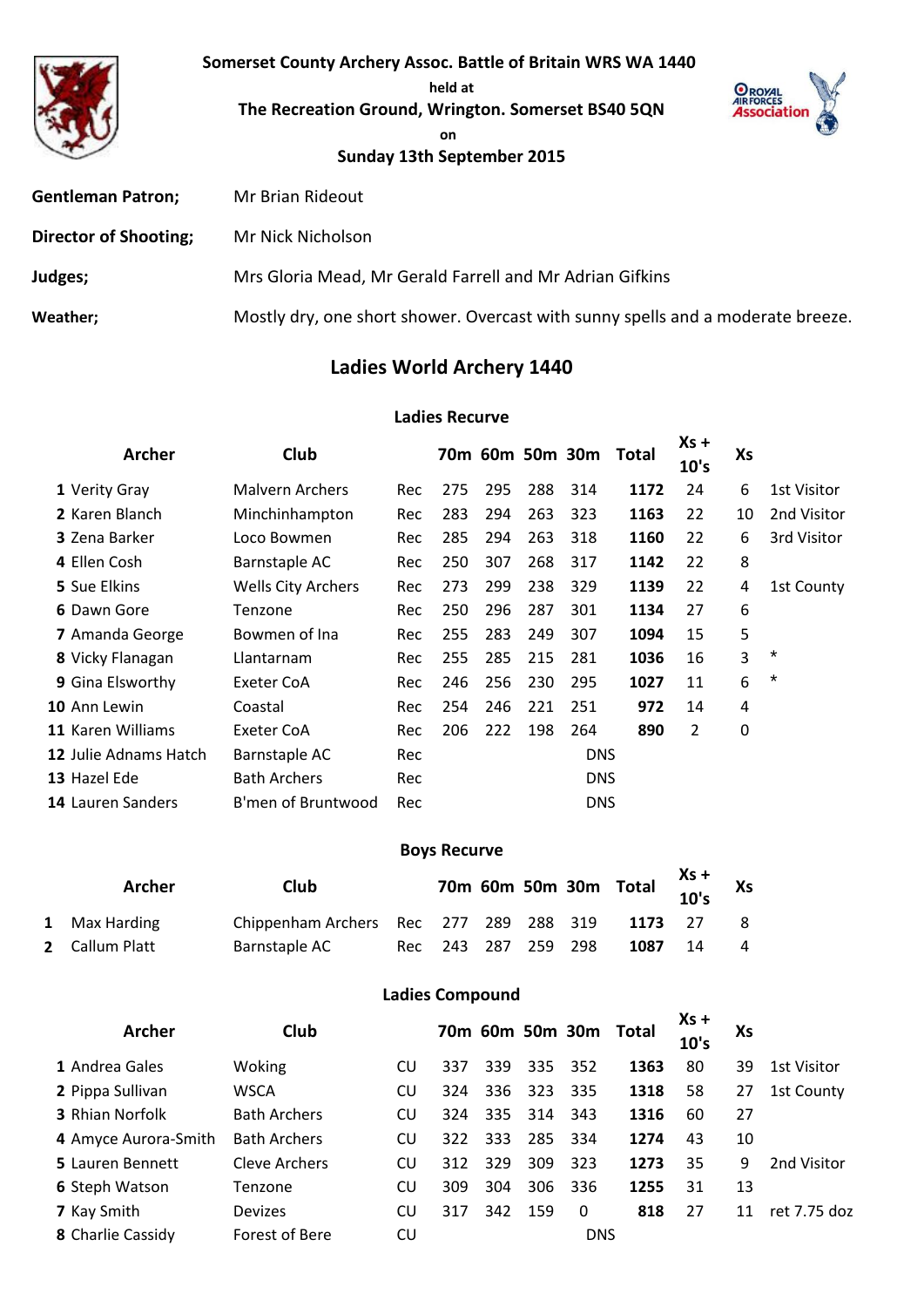**Somerset County Archery Assoc. Battle of Britain WRS WA 1440** 

**held at**

**The Recreation Ground, Wrington. Somerset BS40 5QN**



**on** 

# **Sunday 13th September 2015**

| <b>Gentleman Patron;</b>     | Mr Brian Rideout                                                                |
|------------------------------|---------------------------------------------------------------------------------|
| <b>Director of Shooting;</b> | Mr Nick Nicholson                                                               |
| Judges;                      | Mrs Gloria Mead, Mr Gerald Farrell and Mr Adrian Gifkins                        |
| Weather;                     | Mostly dry, one short shower. Overcast with sunny spells and a moderate breeze. |

# **Ladies World Archery 1440**

#### **Ladies Recurve**

| <b>Archer</b>                | Club                      |     |     |     |     | 70m 60m 50m 30m | Total | $Xs +$ | Xs |                    |
|------------------------------|---------------------------|-----|-----|-----|-----|-----------------|-------|--------|----|--------------------|
|                              |                           |     |     |     |     |                 |       | 10's   |    |                    |
| 1 Verity Gray                | <b>Malvern Archers</b>    | Rec | 275 | 295 | 288 | 314             | 1172  | 24     | 6  | <b>1st Visitor</b> |
| 2 Karen Blanch               | Minchinhampton            | Rec | 283 | 294 | 263 | 323             | 1163  | 22     | 10 | 2nd Visitor        |
| <b>3</b> Zena Barker         | Loco Bowmen               | Rec | 285 | 294 | 263 | 318             | 1160  | 22     | 6  | 3rd Visitor        |
| 4 Ellen Cosh                 | Barnstaple AC             | Rec | 250 | 307 | 268 | 317             | 1142  | 22     | 8  |                    |
| 5 Sue Elkins                 | <b>Wells City Archers</b> | Rec | 273 | 299 | 238 | 329             | 1139  | 22     | 4  | 1st County         |
| 6 Dawn Gore                  | Tenzone                   | Rec | 250 | 296 | 287 | 301             | 1134  | 27     | 6  |                    |
| 7 Amanda George              | Bowmen of Ina             | Rec | 255 | 283 | 249 | 307             | 1094  | 15     | 5  |                    |
| 8 Vicky Flanagan             | Llantarnam                | Rec | 255 | 285 | 215 | 281             | 1036  | 16     | 3  | $^\star$           |
| 9 Gina Elsworthy             | Exeter CoA                | Rec | 246 | 256 | 230 | 295             | 1027  | 11     | 6  | $^\star$           |
| 10 Ann Lewin                 | Coastal                   | Rec | 254 | 246 | 221 | 251             | 972   | 14     | 4  |                    |
| 11 Karen Williams            | Exeter CoA                | Rec | 206 | 222 | 198 | 264             | 890   | 2      | 0  |                    |
| <b>12 Julie Adnams Hatch</b> | Barnstaple AC             | Rec |     |     |     | <b>DNS</b>      |       |        |    |                    |
| 13 Hazel Ede                 | <b>Bath Archers</b>       | Rec |     |     |     | <b>DNS</b>      |       |        |    |                    |
| <b>14 Lauren Sanders</b>     | B'men of Bruntwood        | Rec |     |     |     | <b>DNS</b>      |       |        |    |                    |

### **Boys Recurve**

| <b>Archer</b>  | Club                                   |                     |  | 70m 60m 50m 30m Total $\begin{array}{cc} \sim & \sim \\ 10^1$ s |    |    |
|----------------|----------------------------------------|---------------------|--|-----------------------------------------------------------------|----|----|
| 1 Max Harding  | Chippenham Archers Rec 277 289 288 319 |                     |  | 1173 27                                                         |    | -8 |
| 2 Callum Platt | Barnstaple AC                          | Rec 243 287 259 298 |  | 1087                                                            | 14 | 4  |

### **Ladies Compound**

| <b>Archer</b>          | <b>Club</b>          |           |     |     |     |            | 70m 60m 50m 30m Total | $Xs +$<br>10's | Xs |              |
|------------------------|----------------------|-----------|-----|-----|-----|------------|-----------------------|----------------|----|--------------|
| 1 Andrea Gales         | Woking               | <b>CU</b> | 337 | 339 | 335 | 352        | 1363                  | 80             | 39 | 1st Visitor  |
| 2 Pippa Sullivan       | <b>WSCA</b>          | CU        | 324 | 336 | 323 | -335       | 1318                  | 58             | 27 | 1st County   |
| <b>3</b> Rhian Norfolk | <b>Bath Archers</b>  | CU        | 324 | 335 | 314 | 343        | 1316                  | 60             | 27 |              |
| 4 Amyce Aurora-Smith   | <b>Bath Archers</b>  | CU        | 322 | 333 | 285 | 334        | 1274                  | 43             | 10 |              |
| 5 Lauren Bennett       | <b>Cleve Archers</b> | CU        | 312 | 329 | 309 | 323        | 1273                  | 35             | 9  | 2nd Visitor  |
| <b>6 Steph Watson</b>  | Tenzone              | CU        | 309 | 304 | 306 | 336        | 1255                  | 31             | 13 |              |
| 7 Kay Smith            | <b>Devizes</b>       | CU        | 317 | 342 | 159 | $\Omega$   | 818                   | 27             | 11 | ret 7.75 doz |
| 8 Charlie Cassidy      | Forest of Bere       | CU        |     |     |     | <b>DNS</b> |                       |                |    |              |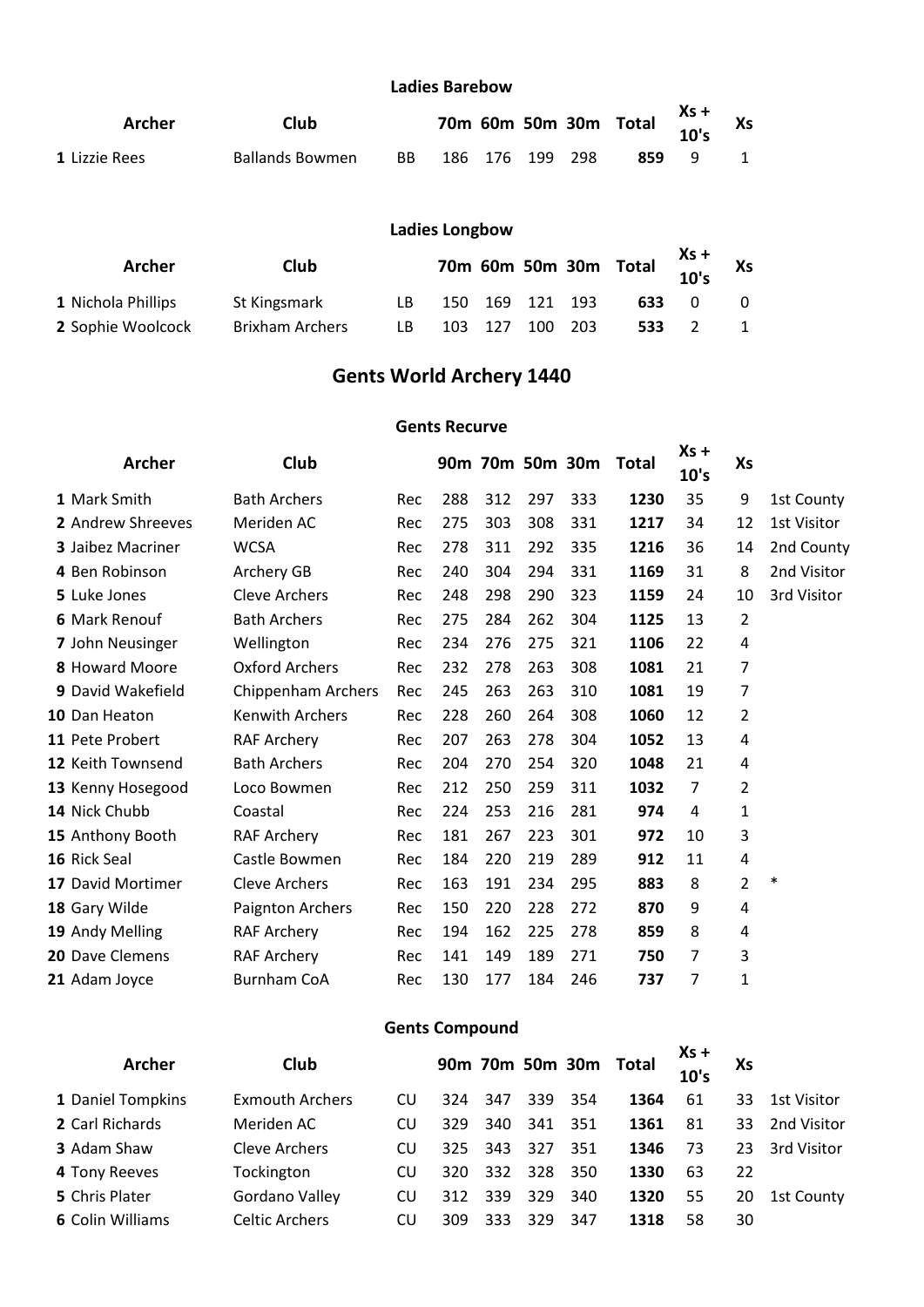#### **Ladies Barebow**

| Archer               | Club                   |     |                 |  | 70m 60m 50m 30m Total $\begin{array}{c} Xs + 10s \\ 10s \end{array}$ | Xs |
|----------------------|------------------------|-----|-----------------|--|----------------------------------------------------------------------|----|
| <b>1</b> Lizzie Rees | <b>Ballands Bowmen</b> | BB. | 186 176 199 298 |  | 859 9                                                                |    |

# **Ladies Longbow**

| Archer             | Club                   |     |         |                 | 70m 60m 50m 30m Total $\begin{array}{cc} \n\lambda 5 \tau \\ 10'5\n\end{array}$ Xs |  |
|--------------------|------------------------|-----|---------|-----------------|------------------------------------------------------------------------------------|--|
| 1 Nichola Phillips | St Kingsmark           | LB. |         | 150 169 121 193 | 633                                                                                |  |
| 2 Sophie Woolcock  | <b>Brixham Archers</b> | LB  | 103 127 | 100 203         | 533                                                                                |  |

# **Gents World Archery 1440**

#### **Gents Recurve**

| <b>Archer</b>          | Club                   |     |     |     |     |     | 90m 70m 50m 30m Total | $Xs +$<br>10's | Xs             |             |
|------------------------|------------------------|-----|-----|-----|-----|-----|-----------------------|----------------|----------------|-------------|
| 1 Mark Smith           | <b>Bath Archers</b>    | Rec | 288 | 312 | 297 | 333 | 1230                  | 35             | 9              | 1st County  |
| 2 Andrew Shreeves      | Meriden AC             | Rec | 275 | 303 | 308 | 331 | 1217                  | 34             | 12             | 1st Visitor |
| 3 Jaibez Macriner      | <b>WCSA</b>            | Rec | 278 | 311 | 292 | 335 | 1216                  | 36             | 14             | 2nd County  |
| 4 Ben Robinson         | Archery GB             | Rec | 240 | 304 | 294 | 331 | 1169                  | 31             | 8              | 2nd Visitor |
| 5 Luke Jones           | <b>Cleve Archers</b>   | Rec | 248 | 298 | 290 | 323 | 1159                  | 24             | 10             | 3rd Visitor |
| <b>6 Mark Renouf</b>   | <b>Bath Archers</b>    | Rec | 275 | 284 | 262 | 304 | 1125                  | 13             | 2              |             |
| 7 John Neusinger       | Wellington             | Rec | 234 | 276 | 275 | 321 | 1106                  | 22             | 4              |             |
| 8 Howard Moore         | <b>Oxford Archers</b>  | Rec | 232 | 278 | 263 | 308 | 1081                  | 21             | 7              |             |
| 9 David Wakefield      | Chippenham Archers     | Rec | 245 | 263 | 263 | 310 | 1081                  | 19             | $\overline{7}$ |             |
| 10 Dan Heaton          | <b>Kenwith Archers</b> | Rec | 228 | 260 | 264 | 308 | 1060                  | 12             | 2              |             |
| 11 Pete Probert        | <b>RAF Archery</b>     | Rec | 207 | 263 | 278 | 304 | 1052                  | 13             | 4              |             |
| 12 Keith Townsend      | <b>Bath Archers</b>    | Rec | 204 | 270 | 254 | 320 | 1048                  | 21             | 4              |             |
| 13 Kenny Hosegood      | Loco Bowmen            | Rec | 212 | 250 | 259 | 311 | 1032                  | 7              | 2              |             |
| 14 Nick Chubb          | Coastal                | Rec | 224 | 253 | 216 | 281 | 974                   | 4              | 1              |             |
| 15 Anthony Booth       | <b>RAF Archery</b>     | Rec | 181 | 267 | 223 | 301 | 972                   | 10             | 3              |             |
| 16 Rick Seal           | Castle Bowmen          | Rec | 184 | 220 | 219 | 289 | 912                   | 11             | $\overline{4}$ |             |
| 17 David Mortimer      | Cleve Archers          | Rec | 163 | 191 | 234 | 295 | 883                   | 8              | 2              | $\ast$      |
| 18 Gary Wilde          | Paignton Archers       | Rec | 150 | 220 | 228 | 272 | 870                   | 9              | 4              |             |
| 19 Andy Melling        | <b>RAF Archery</b>     | Rec | 194 | 162 | 225 | 278 | 859                   | 8              | 4              |             |
| <b>20 Dave Clemens</b> | <b>RAF Archery</b>     | Rec | 141 | 149 | 189 | 271 | 750                   | 7              | 3              |             |
| 21 Adam Joyce          | <b>Burnham CoA</b>     | Rec | 130 | 177 | 184 | 246 | 737                   | 7              | 1              |             |

### **Gents Compound**

| <b>Archer</b>           | Club                   |     |     |     |     |         | 90m 70m 50m 30m Total | $Xs +$<br>10's | Xs |             |
|-------------------------|------------------------|-----|-----|-----|-----|---------|-----------------------|----------------|----|-------------|
| 1 Daniel Tompkins       | <b>Exmouth Archers</b> | CU  | 324 | 347 |     | 339 354 | 1364                  | 61             | 33 | 1st Visitor |
| 2 Carl Richards         | Meriden AC             | CU  | 329 | 340 | 341 | 351     | 1361                  | 81             | 33 | 2nd Visitor |
| <b>3</b> Adam Shaw      | Cleve Archers          | CU  | 325 | 343 | 327 | 351     | 1346                  | 73             | 23 | 3rd Visitor |
| 4 Tony Reeves           | Tockington             | CU  | 320 | 332 | 328 | 350     | 1330                  | 63             | 22 |             |
| 5 Chris Plater          | Gordano Valley         | CU  | 312 | 339 | 329 | 340     | 1320                  | 55             | 20 | 1st County  |
| <b>6 Colin Williams</b> | <b>Celtic Archers</b>  | CU. | 309 | 333 | 329 | 347     | 1318                  | 58             | 30 |             |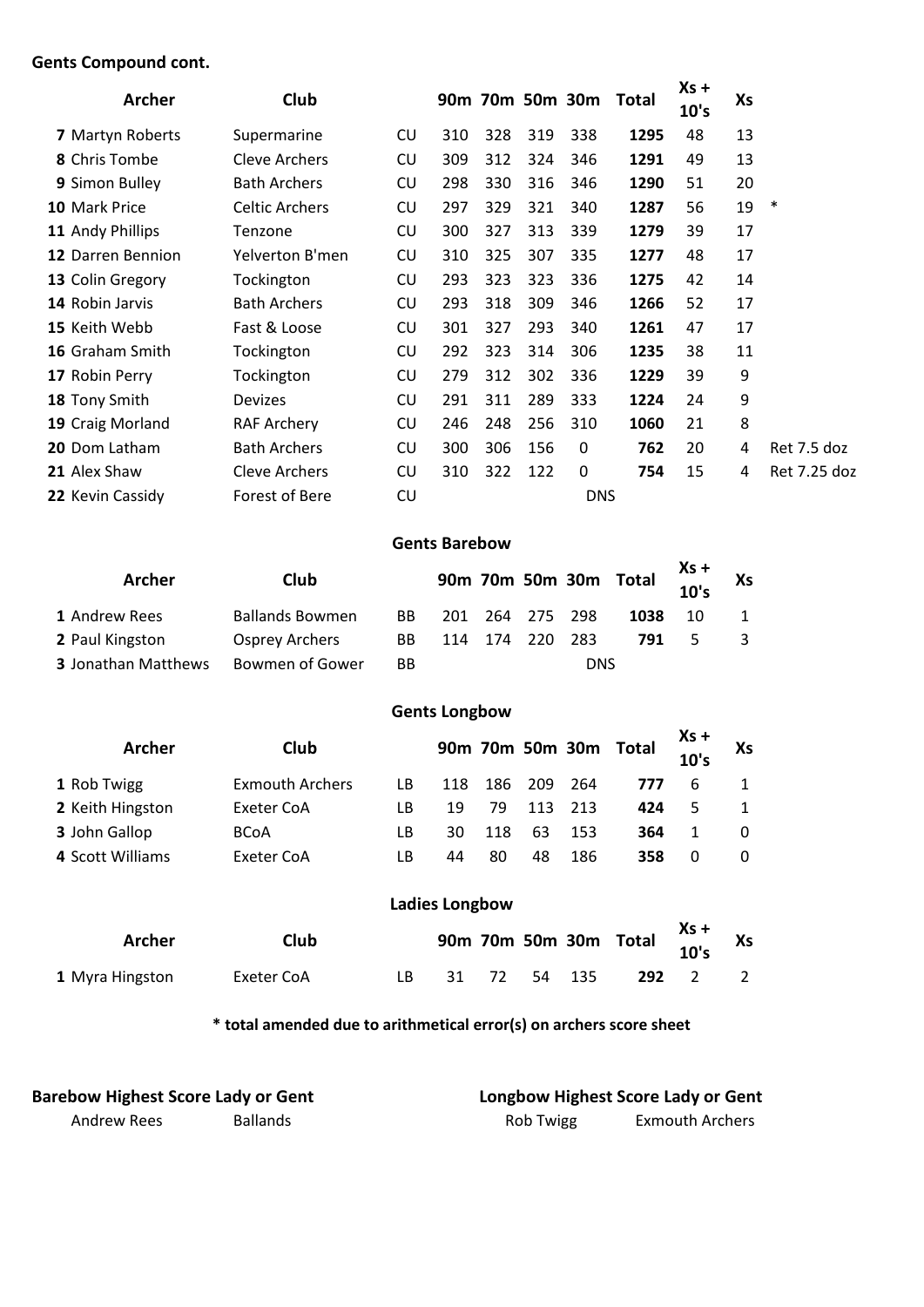### **Gents Compound cont.**

| <b>Archer</b>        | <b>Club</b>           |     |     |     |     |            | 90m 70m 50m 30m Total | $Xs +$<br>10's | Xs |              |
|----------------------|-----------------------|-----|-----|-----|-----|------------|-----------------------|----------------|----|--------------|
| 7 Martyn Roberts     | Supermarine           | CU  | 310 | 328 | 319 | 338        | 1295                  | 48             | 13 |              |
| 8 Chris Tombe        | Cleve Archers         | CU  | 309 | 312 | 324 | 346        | 1291                  | 49             | 13 |              |
| 9 Simon Bulley       | <b>Bath Archers</b>   | CU  | 298 | 330 | 316 | 346        | 1290                  | 51             | 20 |              |
| 10 Mark Price        | <b>Celtic Archers</b> | CU  | 297 | 329 | 321 | 340        | 1287                  | 56             | 19 | $\ast$       |
| 11 Andy Phillips     | Tenzone               | CU  | 300 | 327 | 313 | 339        | 1279                  | 39             | 17 |              |
| 12 Darren Bennion    | Yelverton B'men       | CU  | 310 | 325 | 307 | 335        | 1277                  | 48             | 17 |              |
| 13 Colin Gregory     | Tockington            | CU  | 293 | 323 | 323 | 336        | 1275                  | 42             | 14 |              |
| 14 Robin Jarvis      | <b>Bath Archers</b>   | CU  | 293 | 318 | 309 | 346        | 1266                  | 52             | 17 |              |
| 15 Keith Webb        | Fast & Loose          | CU  | 301 | 327 | 293 | 340        | 1261                  | 47             | 17 |              |
| 16 Graham Smith      | Tockington            | CU  | 292 | 323 | 314 | 306        | 1235                  | 38             | 11 |              |
| 17 Robin Perry       | Tockington            | CU  | 279 | 312 | 302 | 336        | 1229                  | 39             | 9  |              |
| 18 Tony Smith        | <b>Devizes</b>        | CU  | 291 | 311 | 289 | 333        | 1224                  | 24             | 9  |              |
| 19 Craig Morland     | <b>RAF Archery</b>    | CU. | 246 | 248 | 256 | 310        | 1060                  | 21             | 8  |              |
| <b>20 Dom Latham</b> | <b>Bath Archers</b>   | CU  | 300 | 306 | 156 | 0          | 762                   | 20             | 4  | Ret 7.5 doz  |
| 21 Alex Shaw         | Cleve Archers         | CU  | 310 | 322 | 122 | 0          | 754                   | 15             | 4  | Ret 7.25 doz |
| 22 Kevin Cassidy     | Forest of Bere        | CU  |     |     |     | <b>DNS</b> |                       |                |    |              |

#### **Gents Barebow**

| Archer                     | Club                   |     |  |                 |            | 90m 70m 50m 30m Total $\frac{33}{10}$ 's |    | Xs |
|----------------------------|------------------------|-----|--|-----------------|------------|------------------------------------------|----|----|
| 1 Andrew Rees              | <b>Ballands Bowmen</b> | BB. |  | 201 264 275 298 |            | 1038                                     | 10 |    |
| 2 Paul Kingston            | Osprey Archers         | BB  |  | 114 174 220 283 |            | 791                                      | 5  |    |
| <b>3 Jonathan Matthews</b> | Bowmen of Gower        | BB. |  |                 | <b>DNS</b> |                                          |    |    |

# **Gents Longbow**

| <b>Archer</b>    | Club                   |     |     |      |      |     | 90m 70m 50m 30m Total | $Xs +$<br>10's | Xs       |
|------------------|------------------------|-----|-----|------|------|-----|-----------------------|----------------|----------|
| 1 Rob Twigg      | <b>Exmouth Archers</b> | LB. | 118 | -186 | -209 | 264 | 777                   | 6              |          |
| 2 Keith Hingston | Exeter CoA             | LB. | 19  | 79   | 113  | 213 | 424                   | 5              |          |
| 3 John Gallop    | <b>BCoA</b>            | LB. | 30  | 118  | 63   | 153 | 364                   |                | $\Omega$ |
| 4 Scott Williams | Exeter CoA             | LB  | 44  | 80   | 48   | 186 | 358                   | 0              | 0        |

# **Ladies Longbow**

| Archer          | Club       |  |  | 90m 70m 50m 30m Total $\begin{array}{c} Xs + \\ 10^1s \end{array}$ Xs |                |
|-----------------|------------|--|--|-----------------------------------------------------------------------|----------------|
| 1 Myra Hingston | Exeter CoA |  |  | LB 31 72 54 135 292 2                                                 | $\overline{2}$ |

**\* total amended due to arithmetical error(s) on archers score sheet**

| <b>Barebow Highest Score Lady or Gent</b> |                 | Longbow Highest Score Lady or Gent |                 |
|-------------------------------------------|-----------------|------------------------------------|-----------------|
| Andrew Rees                               | <b>Ballands</b> | Rob Twigg                          | Exmouth Archers |